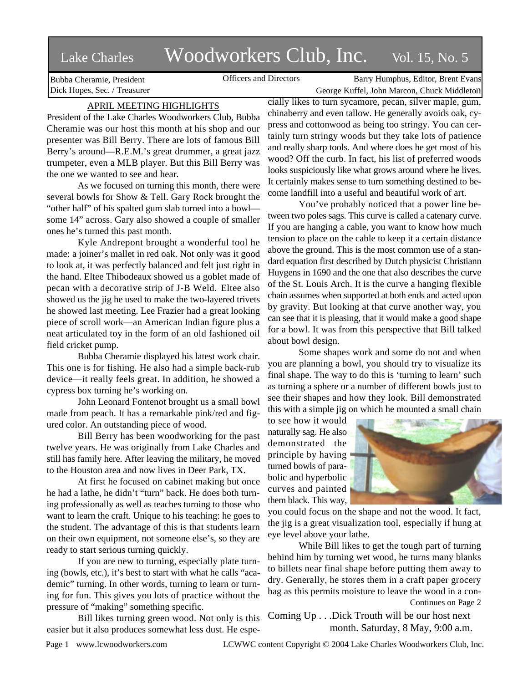# Lake Charles Woodworkers Club, Inc. Vol. 15, No. 5

Bubba Cheramie, President Dick Hopes, Sec. / Treasurer

Officers and Directors Barry Humphus, Editor, Brent Evans George Kuffel, John Marcon, Chuck Middleton

# APRIL MEETING HIGHLIGHTS

President of the Lake Charles Woodworkers Club, Bubba Cheramie was our host this month at his shop and our presenter was Bill Berry. There are lots of famous Bill Berry's around—R.E.M.'s great drummer, a great jazz trumpeter, even a MLB player. But this Bill Berry was the one we wanted to see and hear.

As we focused on turning this month, there were several bowls for Show & Tell. Gary Rock brought the "other half" of his spalted gum slab turned into a bowl some 14" across. Gary also showed a couple of smaller ones he's turned this past month.

Kyle Andrepont brought a wonderful tool he made: a joiner's mallet in red oak. Not only was it good to look at, it was perfectly balanced and felt just right in the hand. Eltee Thibodeaux showed us a goblet made of pecan with a decorative strip of J-B Weld. Eltee also showed us the jig he used to make the two-layered trivets he showed last meeting. Lee Frazier had a great looking piece of scroll work—an American Indian figure plus a neat articulated toy in the form of an old fashioned oil field cricket pump.

Bubba Cheramie displayed his latest work chair. This one is for fishing. He also had a simple back-rub device—it really feels great. In addition, he showed a cypress box turning he's working on.

John Leonard Fontenot brought us a small bowl made from peach. It has a remarkable pink/red and figured color. An outstanding piece of wood.

Bill Berry has been woodworking for the past twelve years. He was originally from Lake Charles and still has family here. After leaving the military, he moved to the Houston area and now lives in Deer Park, TX.

At first he focused on cabinet making but once he had a lathe, he didn't "turn" back. He does both turning professionally as well as teaches turning to those who want to learn the craft. Unique to his teaching: he goes to the student. The advantage of this is that students learn on their own equipment, not someone else's, so they are ready to start serious turning quickly.

If you are new to turning, especially plate turning (bowls, etc.), it's best to start with what he calls "academic" turning. In other words, turning to learn or turning for fun. This gives you lots of practice without the pressure of "making" something specific.

Bill likes turning green wood. Not only is this easier but it also produces somewhat less dust. He espe-

cially likes to turn sycamore, pecan, silver maple, gum, chinaberry and even tallow. He generally avoids oak, cypress and cottonwood as being too stringy. You can certainly turn stringy woods but they take lots of patience and really sharp tools. And where does he get most of his wood? Off the curb. In fact, his list of preferred woods looks suspiciously like what grows around where he lives. It certainly makes sense to turn something destined to become landfill into a useful and beautiful work of art.

You've probably noticed that a power line between two poles sags. This curve is called a catenary curve. If you are hanging a cable, you want to know how much tension to place on the cable to keep it a certain distance above the ground. This is the most common use of a standard equation first described by Dutch physicist Christiann Huygens in 1690 and the one that also describes the curve of the St. Louis Arch. It is the curve a hanging flexible chain assumes when supported at both ends and acted upon by gravity. But looking at that curve another way, you can see that it is pleasing, that it would make a good shape for a bowl. It was from this perspective that Bill talked about bowl design.

Some shapes work and some do not and when you are planning a bowl, you should try to visualize its final shape. The way to do this is 'turning to learn' such as turning a sphere or a number of different bowls just to see their shapes and how they look. Bill demonstrated this with a simple jig on which he mounted a small chain

to see how it would naturally sag. He also demonstrated the principle by having turned bowls of parabolic and hyperbolic curves and painted them black. This way,



you could focus on the shape and not the wood. It fact, the jig is a great visualization tool, especially if hung at eye level above your lathe.

While Bill likes to get the tough part of turning behind him by turning wet wood, he turns many blanks to billets near final shape before putting them away to dry. Generally, he stores them in a craft paper grocery bag as this permits moisture to leave the wood in a con-Continues on Page 2

Coming Up . . .Dick Trouth will be our host next month. Saturday, 8 May, 9:00 a.m.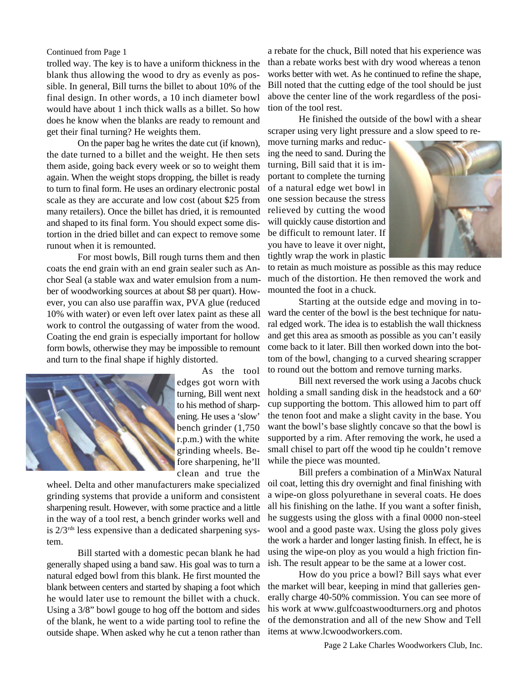trolled way. The key is to have a uniform thickness in the blank thus allowing the wood to dry as evenly as possible. In general, Bill turns the billet to about 10% of the final design. In other words, a 10 inch diameter bowl would have about 1 inch thick walls as a billet. So how does he know when the blanks are ready to remount and get their final turning? He weights them.

On the paper bag he writes the date cut (if known), the date turned to a billet and the weight. He then sets them aside, going back every week or so to weight them again. When the weight stops dropping, the billet is ready to turn to final form. He uses an ordinary electronic postal scale as they are accurate and low cost (about \$25 from many retailers). Once the billet has dried, it is remounted and shaped to its final form. You should expect some distortion in the dried billet and can expect to remove some runout when it is remounted.

For most bowls, Bill rough turns them and then coats the end grain with an end grain sealer such as Anchor Seal (a stable wax and water emulsion from a number of woodworking sources at about \$8 per quart). However, you can also use paraffin wax, PVA glue (reduced 10% with water) or even left over latex paint as these all work to control the outgassing of water from the wood. Coating the end grain is especially important for hollow form bowls, otherwise they may be impossible to remount and turn to the final shape if highly distorted.



As the tool edges got worn with turning, Bill went next to his method of sharpening. He uses a 'slow' bench grinder (1,750 r.p.m.) with the white grinding wheels. Before sharpening, he'll clean and true the

wheel. Delta and other manufacturers make specialized grinding systems that provide a uniform and consistent sharpening result. However, with some practice and a little in the way of a tool rest, a bench grinder works well and is 2/3rds less expensive than a dedicated sharpening system.

Bill started with a domestic pecan blank he had generally shaped using a band saw. His goal was to turn a natural edged bowl from this blank. He first mounted the blank between centers and started by shaping a foot which he would later use to remount the billet with a chuck. Using a 3/8" bowl gouge to hog off the bottom and sides of the blank, he went to a wide parting tool to refine the outside shape. When asked why he cut a tenon rather than

Continued from Page 1 a rebate for the chuck, Bill noted that his experience was than a rebate works best with dry wood whereas a tenon works better with wet. As he continued to refine the shape, Bill noted that the cutting edge of the tool should be just above the center line of the work regardless of the position of the tool rest.

> He finished the outside of the bowl with a shear scraper using very light pressure and a slow speed to re-

move turning marks and reducing the need to sand. During the turning, Bill said that it is important to complete the turning of a natural edge wet bowl in one session because the stress relieved by cutting the wood will quickly cause distortion and be difficult to remount later. If you have to leave it over night, tightly wrap the work in plastic



to retain as much moisture as possible as this may reduce much of the distortion. He then removed the work and mounted the foot in a chuck.

Starting at the outside edge and moving in toward the center of the bowl is the best technique for natural edged work. The idea is to establish the wall thickness and get this area as smooth as possible as you can't easily come back to it later. Bill then worked down into the bottom of the bowl, changing to a curved shearing scrapper to round out the bottom and remove turning marks.

Bill next reversed the work using a Jacobs chuck holding a small sanding disk in the headstock and a  $60^\circ$ cup supporting the bottom. This allowed him to part off the tenon foot and make a slight cavity in the base. You want the bowl's base slightly concave so that the bowl is supported by a rim. After removing the work, he used a small chisel to part off the wood tip he couldn't remove while the piece was mounted.

Bill prefers a combination of a MinWax Natural oil coat, letting this dry overnight and final finishing with a wipe-on gloss polyurethane in several coats. He does all his finishing on the lathe. If you want a softer finish, he suggests using the gloss with a final 0000 non-steel wool and a good paste wax. Using the gloss poly gives the work a harder and longer lasting finish. In effect, he is using the wipe-on ploy as you would a high friction finish. The result appear to be the same at a lower cost.

How do you price a bowl? Bill says what ever the market will bear, keeping in mind that galleries generally charge 40-50% commission. You can see more of his work at www.gulfcoastwoodturners.org and photos of the demonstration and all of the new Show and Tell items at www.lcwoodworkers.com.